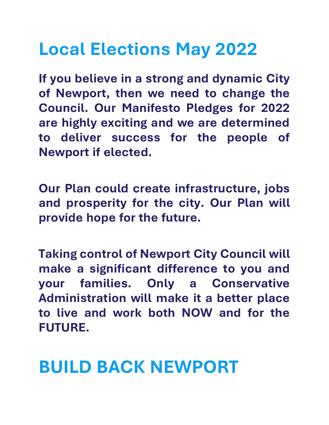### **Local Elections May 2022**

**If you believe in a strong and dynamic City of Newport, then we need to change the Council. Our Manifesto Pledges for 2022 are highly exciting and we are determined to deliver success for the people of Newport if elected.**

**Our Plan could create infrastructure, jobs and prosperity for the city. Our Plan will provide hope for the future.**

**Taking control of Newport City Council will make a significant difference to you and your families. Only a Conservative Administration will make it a better place to live and work both NOW and for the FUTURE.**

#### **BUILD BACK NEWPORT**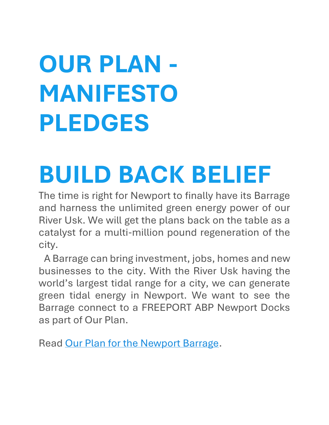# **OUR PLAN - MANIFESTO PLEDGES**

## **BUILD BACK BELIEF**

The time is right for Newport to finally have its Barrage and harness the unlimited green energy power of our River Usk. We will get the plans back on the table as a catalyst for a multi-million pound regeneration of the city.

A Barrage can bring investment, jobs, homes and new businesses to the city. With the River Usk having the world's largest tidal range for a city, we can generate green tidal energy in Newport. We want to see the Barrage connect to a FREEPORT ABP Newport Docks as part of Our Plan.

Read [Our Plan for the Newport Barrage.](https://www.newportconservatives.com/Newport-Barrage)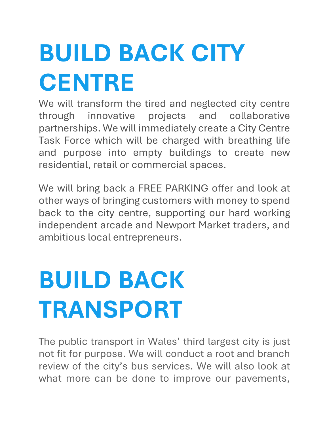# **BUILD BACK CITY CENTRE**

We will transform the tired and neglected city centre through innovative projects and collaborative partnerships. We will immediately create a City Centre Task Force which will be charged with breathing life and purpose into empty buildings to create new residential, retail or commercial spaces.

We will bring back a FREE PARKING offer and look at other ways of bringing customers with money to spend back to the city centre, supporting our hard working independent arcade and Newport Market traders, and ambitious local entrepreneurs.

# **BUILD BACK TRANSPORT**

The public transport in Wales' third largest city is just not fit for purpose. We will conduct a root and branch review of the city's bus services. We will also look at what more can be done to improve our pavements,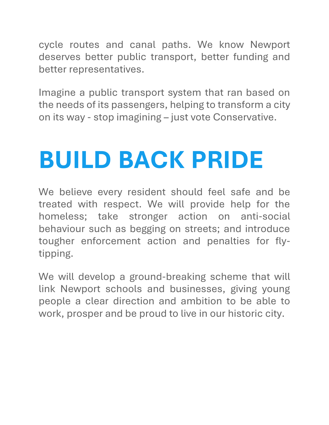cycle routes and canal paths. We know Newport deserves better public transport, better funding and better representatives.

Imagine a public transport system that ran based on the needs of its passengers, helping to transform a city on its way - stop imagining – just vote Conservative.

## **BUILD BACK PRIDE**

We believe every resident should feel safe and be treated with respect. We will provide help for the homeless; take stronger action on anti-social behaviour such as begging on streets; and introduce tougher enforcement action and penalties for flytipping.

We will develop a ground-breaking scheme that will link Newport schools and businesses, giving young people a clear direction and ambition to be able to work, prosper and be proud to live in our historic city.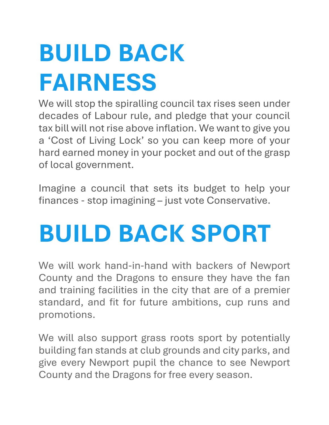# **BUILD BACK FAIRNESS**

We will stop the spiralling council tax rises seen under decades of Labour rule, and pledge that your council tax bill will not rise above inflation. We want to give you a 'Cost of Living Lock' so you can keep more of your hard earned money in your pocket and out of the grasp of local government.

Imagine a council that sets its budget to help your finances - stop imagining – just vote Conservative.

## **BUILD BACK SPORT**

We will work hand-in-hand with backers of Newport County and the Dragons to ensure they have the fan and training facilities in the city that are of a premier standard, and fit for future ambitions, cup runs and promotions.

We will also support grass roots sport by potentially building fan stands at club grounds and city parks, and give every Newport pupil the chance to see Newport County and the Dragons for free every season.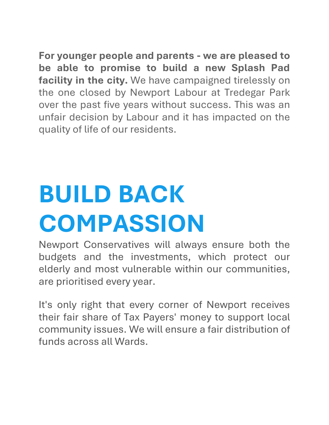**For younger people and parents - we are pleased to be able to promise to build a new Splash Pad facility in the city.** We have campaigned tirelessly on the one closed by Newport Labour at Tredegar Park over the past five years without success. This was an unfair decision by Labour and it has impacted on the quality of life of our residents.

## **BUILD BACK COMPASSION**

Newport Conservatives will always ensure both the budgets and the investments, which protect our elderly and most vulnerable within our communities, are prioritised every year.

It's only right that every corner of Newport receives their fair share of Tax Payers' money to support local community issues. We will ensure a fair distribution of funds across all Wards.